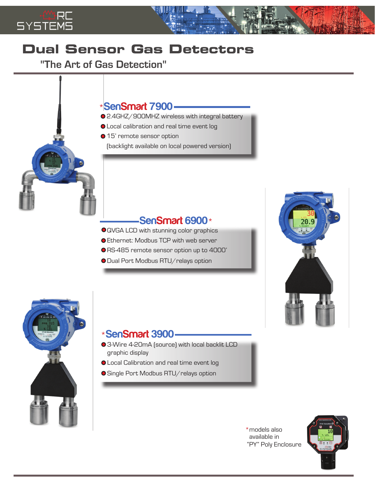

## **Dual Sensor Gas Detectors**

"The Art of Gas Detection"

## \***SenSmart 7900**

- 2.4GHZ/900MHZ wireless with integral battery
- Local calibration and real time event log
- 15' remote sensor option

(backlight available on local powered version)

## **SenSmart 6900**\*

- QVGA LCD with stunning color graphics
- Ethernet: Modbus TCP with web server
- RS-485 remote sensor option up to 4000'
- O Dual Port Modbus RTU/relays option





## \***SenSmart 3900**

- 3-Wire 4-20mA (source) with local backlit LCD graphic display
- Local Calibration and real time event log
- Single Port Modbus RTU/relays option

\*models also available in "PY" Poly Enclosure